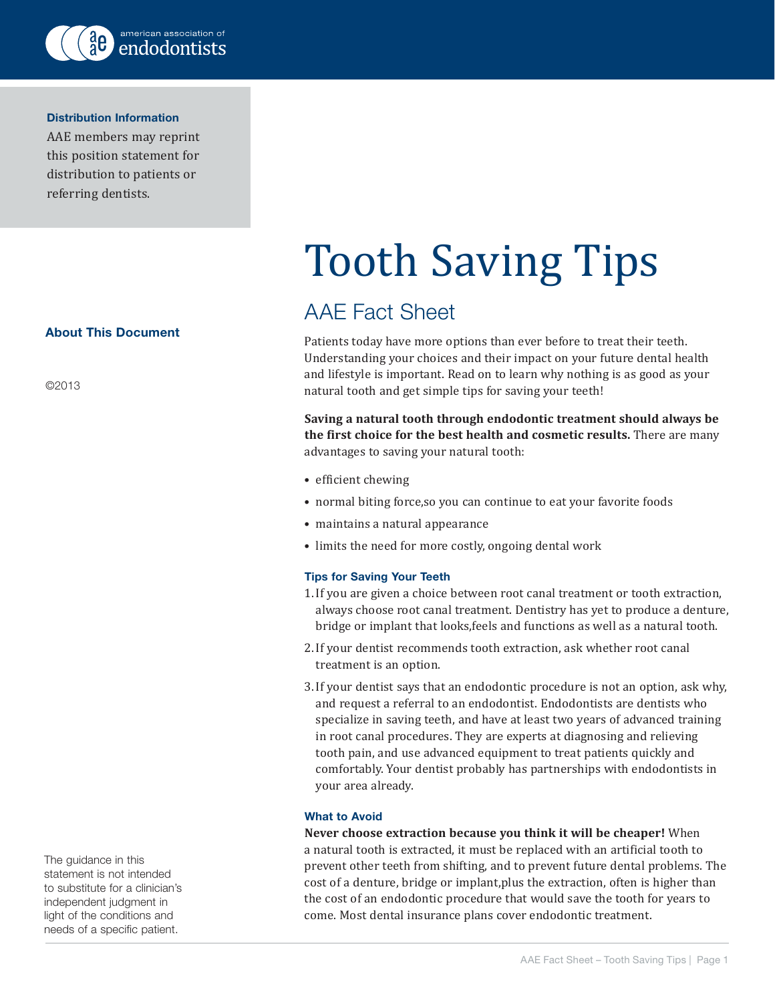

#### Distribution Information

AAE members may reprint this position statement for distribution to patients or referring dentists.

## About This Document

©2013

The guidance in this statement is not intended to substitute for a clinician's independent judgment in light of the conditions and needs of a specific patient.

# Tooth Saving Tips

# AAE Fact Sheet

Patients today have more options than ever before to treat their teeth. Understanding your choices and their impact on your future dental health and lifestyle is important. Read on to learn why nothing is as good as your natural tooth and get simple tips for saving your teeth!

**Saving a natural tooth through endodontic treatment should always be the first choice for the best health and cosmetic results.** There are many advantages to saving your natural tooth:

- efficient chewing
- normal biting force,so you can continue to eat your favorite foods
- maintains a natural appearance
- limits the need for more costly, ongoing dental work

## Tips for Saving Your Teeth

- 1.If you are given a choice between root canal treatment or tooth extraction, always choose root canal treatment. Dentistry has yet to produce a denture, bridge or implant that looks,feels and functions as well as a natural tooth.
- 2.If your dentist recommends tooth extraction, ask whether root canal treatment is an option.
- 3.If your dentist says that an endodontic procedure is not an option, ask why, and request a referral to an endodontist. Endodontists are dentists who specialize in saving teeth, and have at least two years of advanced training in root canal procedures. They are experts at diagnosing and relieving tooth pain, and use advanced equipment to treat patients quickly and comfortably. Your dentist probably has partnerships with endodontists in your area already.

## What to Avoid

**Never choose extraction because you think it will be cheaper!** When a natural tooth is extracted, it must be replaced with an artificial tooth to prevent other teeth from shifting, and to prevent future dental problems. The cost of a denture, bridge or implant,plus the extraction, often is higher than the cost of an endodontic procedure that would save the tooth for years to come. Most dental insurance plans cover endodontic treatment.